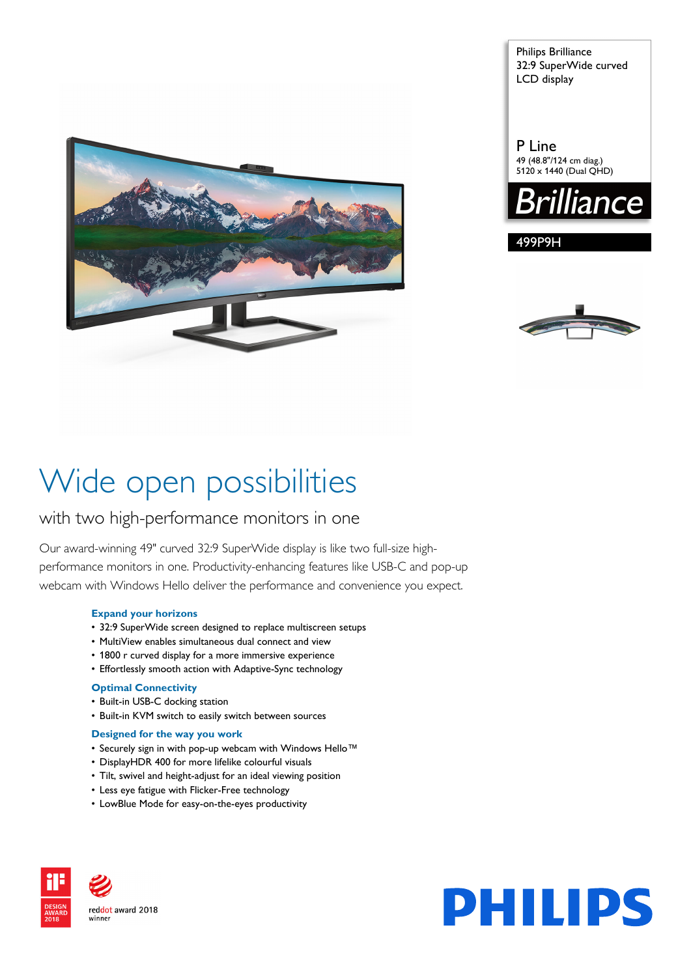

Philips Brilliance 32:9 SuperWide curved LCD display

P Line 49 (48.8"/124 cm diag.) 5120 x 1440 (Dual QHD)



499P9H



# Wide open possibilities

## with two high-performance monitors in one

Our award-winning 49" curved 32:9 SuperWide display is like two full-size highperformance monitors in one. Productivity-enhancing features like USB-C and pop-up webcam with Windows Hello deliver the performance and convenience you expect.

### **Expand your horizons**

- 32:9 SuperWide screen designed to replace multiscreen setups
- MultiView enables simultaneous dual connect and view
- 1800 r curved display for a more immersive experience
- Effortlessly smooth action with Adaptive-Sync technology

### **Optimal Connectivity**

- Built-in USB-C docking station
- Built-in KVM switch to easily switch between sources

### **Designed for the way you work**

- Securely sign in with pop-up webcam with Windows Hello™
- DisplayHDR 400 for more lifelike colourful visuals
- Tilt, swivel and height-adjust for an ideal viewing position
- Less eye fatigue with Flicker-Free technology
- LowBlue Mode for easy-on-the-eyes productivity



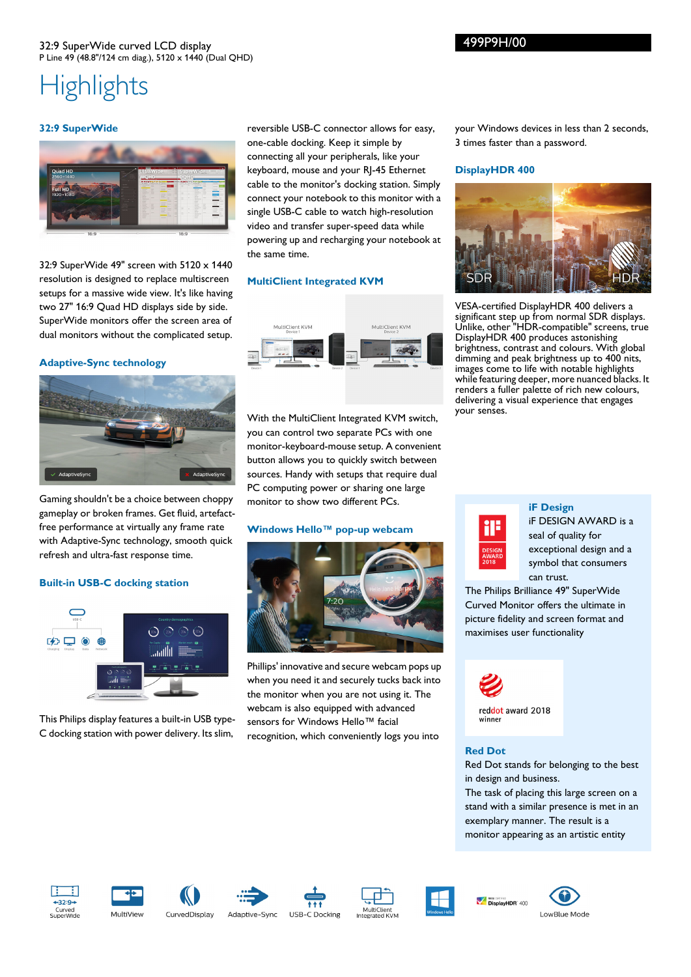# **Highlights**

### **32:9 SuperWide**



32:9 SuperWide 49" screen with 5120 x 1440 resolution is designed to replace multiscreen setups for a massive wide view. It's like having two 27" 16:9 Quad HD displays side by side. SuperWide monitors offer the screen area of dual monitors without the complicated setup.

### **Adaptive-Sync technology**



Gaming shouldn't be a choice between choppy gameplay or broken frames. Get fluid, artefactfree performance at virtually any frame rate with Adaptive-Sync technology, smooth quick refresh and ultra-fast response time.

### **Built-in USB-C docking station**



This Philips display features a built-in USB type-C docking station with power delivery. Its slim,

reversible USB-C connector allows for easy, one-cable docking. Keep it simple by connecting all your peripherals, like your keyboard, mouse and your RJ-45 Ethernet cable to the monitor's docking station. Simply connect your notebook to this monitor with a single USB-C cable to watch high-resolution video and transfer super-speed data while powering up and recharging your notebook at the same time.

### **MultiClient Integrated KVM**



With the MultiClient Integrated KVM switch, you can control two separate PCs with one monitor-keyboard-mouse setup. A convenient button allows you to quickly switch between sources. Handy with setups that require dual PC computing power or sharing one large monitor to show two different PCs.

### **Windows Hello™ pop-up webcam**



Phillips' innovative and secure webcam pops up when you need it and securely tucks back into the monitor when you are not using it. The webcam is also equipped with advanced sensors for Windows Hello™ facial recognition, which conveniently logs you into

your Windows devices in less than 2 seconds, 3 times faster than a password.

### **DisplayHDR 400**



VESA-certified DisplayHDR 400 delivers a significant step up from normal SDR displays. Unlike, other "HDR-compatible" screens, true DisplayHDR 400 produces astonishing brightness, contrast and colours. With global dimming and peak brightness up to 400 nits, images come to life with notable highlights while featuring deeper, more nuanced blacks. It renders a fuller palette of rich new colours, delivering a visual experience that engages your senses.



### **iF Design**

iF DESIGN AWARD is a seal of quality for exceptional design and a symbol that consumers can trust.

The Philips Brilliance 49" SuperWide Curved Monitor offers the ultimate in picture fidelity and screen format and maximises user functionality



### **Red Dot**

Red Dot stands for belonging to the best in design and business.

The task of placing this large screen on a stand with a similar presence is met in an exemplary manner. The result is a monitor appearing as an artistic entity

















**VER CERTIFED**<br>DisplayHDR<sup>-</sup>400